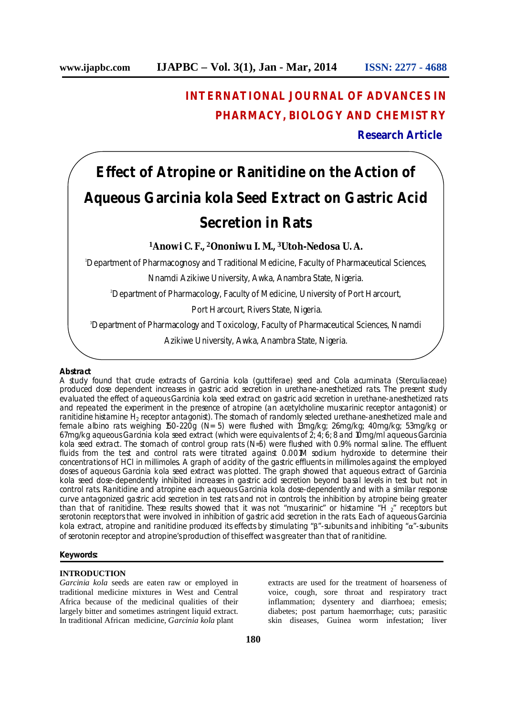## **INTERNATIONAL JOURNAL OF ADVANCES IN PHARMACY, BIOLOGY AND CHEMISTRY**

**Research Article**

# **Effect of Atropine or Ranitidine on the Action of Aqueous** *Garcinia kola* **Seed Extract on Gastric Acid Secretion in Rats**

**<sup>1</sup>Anowi C. F., <sup>2</sup>Ononiwu I. M., <sup>3</sup>Utoh-Nedosa U. A.**

<sup>1</sup>Department of Pharmacognosy and Traditional Medicine, Faculty of Pharmaceutical Sciences,

Nnamdi Azikiwe University, Awka, Anambra State, Nigeria.

<sup>2</sup>Department of Pharmacology, Faculty of Medicine, University of Port Harcourt,

Port Harcourt, Rivers State, Nigeria.

<sup>3</sup>Department of Pharmacology and Toxicology, Faculty of Pharmaceutical Sciences, Nnamdi

Azikiwe University, Awka, Anambra State, Nigeria.

#### **Abstract**

A study found that crude extracts of *Garcinia kola* (guttiferae) seed and *Cola acuminata* (Sterculiaceae) produced dose dependent increases in gastric acid secretion in urethane-anesthetized rats. The present study evaluated the effect of aqueous *Garcinia kola* seed extract on gastric acid secretion in urethane-anesthetized rats and repeated the experiment in the presence of atropine (an acetylcholine muscarinic receptor antagonist) or ranitidine histamine H<sub>2</sub> receptor antagonist). The stomach of randomly selected urethane-anesthetized male and female albino rats weighing 150-220g (N= 5) were flushed with 13mg/kg; 26mg/kg; 40mg/kg; 53mg/kg or 67mg/kg aqueous *Garcinia kola* seed extract (which were equivalents of 2; 4; 6; 8 and 10mg/ml aqueous *Garcinia kola* seed extract. The stomach of control group rats (N=5) were flushed with 0.9% normal saline. The effluent fluids from the test and control rats were titrated against 0.001M sodium hydroxide to determine their concentrations of HCl in millimoles. A graph of acidity of the gastric effluents in millimoles against the employed doses of aqueous *Garcinia kola* seed extract was plotted. The graph showed that aqueous extract of *Garcinia kola* seed dose-dependently inhibited increases in gastric acid secretion beyond basal levels in test but not in control rats. Ranitidine and atropine each aqueous *Garcinia kola* dose-dependently and with a similar response curve antagonized gastric acid secretion in test rats and not in controls; the inhibition by atropine being greater than that of ranitidine. These results showed that it was not "muscarinic" or histamine "H  $\sigma$ " receptors but serotonin receptors that were involved in inhibition of gastric acid secretion in the rats. Each of aqueous *Garcinia kola* extract, atropine and ranitidine produced its effects by stimulating "β"-subunits and inhibiting "α"-subunits of serotonin receptor and atropine's production of this effect was greater than that of ranitidine.

#### **Keywords:**

## **INTRODUCTION**

*Garcinia kola* seeds are eaten raw or employed in traditional medicine mixtures in West and Central Africa because of the medicinal qualities of their largely bitter and sometimes astringent liquid extract. In traditional African medicine, *Garcinia kola* plant

extracts are used for the treatment of hoarseness of voice, cough, sore throat and respiratory tract inflammation; dysentery and diarrhoea; emesis; diabetes; post partum haemorrhage; cuts; parasitic skin diseases, Guinea worm infestation; liver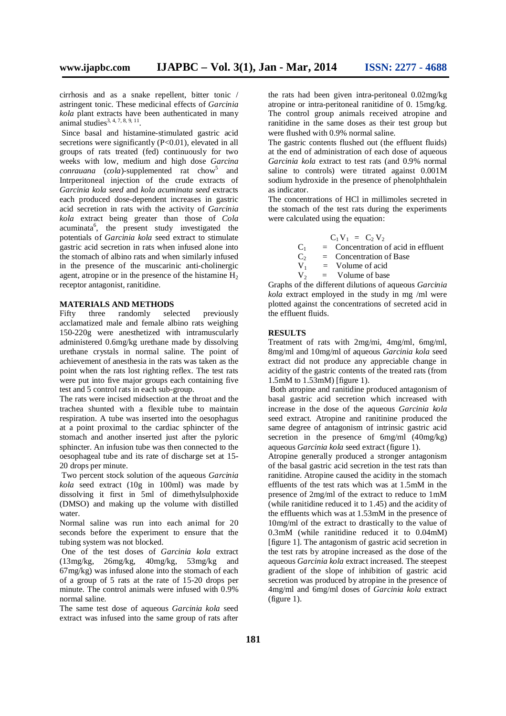cirrhosis and as a snake repellent, bitter tonic / astringent tonic. These medicinal effects of *Garcinia kola* plant extracts have been authenticated in many animal studies<sup>3, 4, 7, 8, 9, 11</sup>.

Since basal and histamine-stimulated gastric acid secretions were significantly (P<0.01), elevated in all groups of rats treated (fed) continuously for two weeks with low, medium and high dose *Garcina*  conrauana (cola)-supplemented rat chow<sup>5</sup> and Intrperitoneal injection of the crude extracts of *Garcinia kola seed* and *kola acuminata seed* extracts each produced dose-dependent increases in gastric acid secretion in rats with the activity of *Garcinia kola* extract being greater than those of *Cola* acuminata<sup>6</sup>, the present study investigated the potentials of *Garcinia kola* seed extract to stimulate gastric acid secretion in rats when infused alone into the stomach of albino rats and when similarly infused in the presence of the muscarinic anti-cholinergic agent, atropine or in the presence of the histamine  $H_2$ receptor antagonist, ranitidine.

#### **MATERIALS AND METHODS**

Fifty three randomly selected previously acclamatized male and female albino rats weighing 150-220g were anesthetized with intramuscularly administered 0.6mg/kg urethane made by dissolving urethane crystals in normal saline. The point of achievement of anesthesia in the rats was taken as the point when the rats lost righting reflex. The test rats were put into five major groups each containing five test and 5 control rats in each sub-group.

The rats were incised midsection at the throat and the trachea shunted with a flexible tube to maintain respiration. A tube was inserted into the oesophagus at a point proximal to the cardiac sphincter of the stomach and another inserted just after the pyloric sphincter. An infusion tube was then connected to the oesophageal tube and its rate of discharge set at 15- 20 drops per minute.

Two percent stock solution of the aqueous *Garcinia kola* seed extract (10g in 100ml) was made by dissolving it first in 5ml of dimethylsulphoxide (DMSO) and making up the volume with distilled water.

Normal saline was run into each animal for 20 seconds before the experiment to ensure that the tubing system was not blocked.

One of the test doses of *Garcinia kola* extract (13mg/kg, 26mg/kg, 40mg/kg, 53mg/kg and 67mg/kg) was infused alone into the stomach of each of a group of 5 rats at the rate of 15-20 drops per minute. The control animals were infused with 0.9% normal saline.

The same test dose of aqueous *Garcinia kola* seed extract was infused into the same group of rats after

the rats had been given intra-peritoneal 0.02mg/kg atropine or intra-peritoneal ranitidine of 0. 15mg/kg. The control group animals received atropine and ranitidine in the same doses as their test group but were flushed with 0.9% normal saline.

The gastric contents flushed out (the effluent fluids) at the end of administration of each dose of aqueous *Garcinia kola* extract to test rats (and 0.9% normal saline to controls) were titrated against 0.001M sodium hydroxide in the presence of phenolphthalein as indicator.

The concentrations of HCl in millimoles secreted in the stomach of the test rats during the experiments were calculated using the equation:

$$
C_1 V_1 = C_2 V_2
$$

 $C_1$  = Concentration of acid in effluent<br>  $C_2$  = Concentration of Base

 $C_2$  = Concentration of Base<br>V<sub>1</sub> = Volume of acid

 $V_1$  = Volume of acid<br>  $V_2$  = Volume of base  $=$  Volume of base

Graphs of the different dilutions of aqueous *Garcinia kola* extract employed in the study in mg /ml were plotted against the concentrations of secreted acid in the effluent fluids.

#### **RESULTS**

Treatment of rats with 2mg/mi, 4mg/ml, 6mg/ml, 8mg/ml and 10mg/ml of aqueous *Garcinia kola* seed extract did not produce any appreciable change in acidity of the gastric contents of the treated rats (from 1.5mM to 1.53mM) [figure 1).

Both atropine and ranitidine produced antagonism of basal gastric acid secretion which increased with increase in the dose of the aqueous *Garcinia kola* seed extract. Atropine and ranitinine produced the same degree of antagonism of intrinsic gastric acid secretion in the presence of 6mg/ml (40mg/kg) aqueous *Garcinia kola* seed extract (figure 1).

Atropine generally produced a stronger antagonism of the basal gastric acid secretion in the test rats than ranitidine. Atropine caused the acidity in the stomach effluents of the test rats which was at 1.5mM in the presence of 2mg/ml of the extract to reduce to 1mM (while ranitidine reduced it to 1.45) and the acidity of the effluents which was at 1.53mM in the presence of 10mg/ml of the extract to drastically to the value of 0.3mM (while ranitidine reduced it to 0.04mM) [figure 1]. The antagonism of gastric acid secretion in the test rats by atropine increased as the dose of the aqueous *Garcinia kola* extract increased. The steepest gradient of the slope of inhibition of gastric acid secretion was produced by atropine in the presence of 4mg/ml and 6mg/ml doses of *Garcinia kola* extract (figure 1).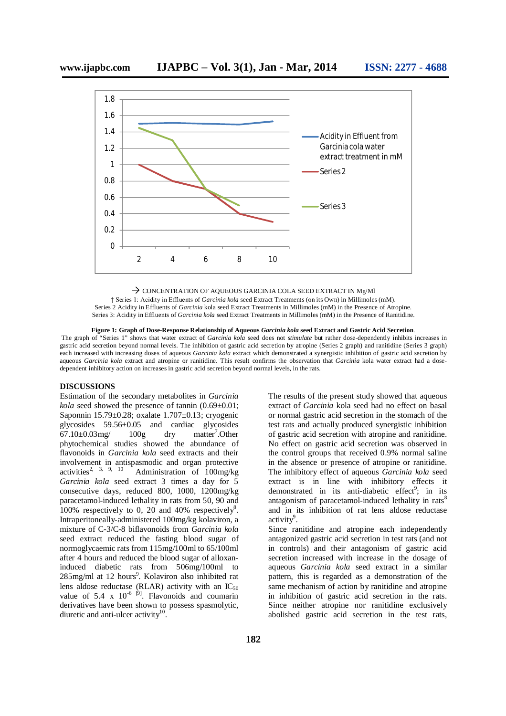

#### $\rightarrow$  CONCENTRATION OF AQUEOUS GARCINIA COLA SEED EXTRACT IN Mg/MI

↑ Series 1: Acidity in Effluents of *Garcinia kola* seed Extract Treatments (on its Own) in Millimoles (mM). Series 2 Acidity in Effluents of *Garcinia* kola seed Extract Treatments in Millimoles (mM) in the Presence of Atropine. Series 3: Acidity in Effluents of *Garcinia kola* seed Extract Treatments in Millimoles (mM) in the Presence of Ranitidine.

#### **Figure 1: Graph of Dose-Response Relationship of Aqueous** *Garcinia kola* **seed Extract and Gastric Acid Secretion**.

The graph of "Series 1" shows that water extract of *Garcinia kola* seed does not *stimulate* but rather dose-dependently inhibits increases in gastric acid secretion beyond normal levels. The inhibition of gastric acid secretion by atropine (Series 2 graph) and ranitidine (Series 3 graph) each increased with increasing doses of aqueous *Garcinia kola* extract which demonstrated a synergistic inhibition of gastric acid secretion by aqueous *Garcinia kola* extract and atropine or ranitidine. This result confirms the observation that *Garcinia* kola water extract had a dosedependent inhibitory action on increases in gastric acid secretion beyond normal levels, in the rats.

#### **DISCUSSIONS**

Estimation of the secondary metabolites in *Garcinia kola* seed showed the presence of tannin (0.69±0.01; Saponnin 15.79±0.28; oxalate 1.707±0.13; cryogenic glycosides 59.56±0.05 and cardiac glycosides 67.10 $\pm$ 0.03mg/ 100g dry matter<sup>7</sup>.Other phytochemical studies showed the abundance of flavonoids in *Garcinia kola* seed extracts and their involvement in antispasmodic and organ protective activities<sup>2, 3, 9, 10</sup> Administration of 100mo/ko Administration of  $100$ mg/kg *Garcinia kola* seed extract 3 times a day for 5 consecutive days, reduced 800, 1000, 1200mg/kg paracetamol-induced lethality in rats from 50, 90 and 100% respectively to 0, 20 and 40% respectively<sup>8</sup>. Intraperitoneally-administered 100mg/kg kolaviron, a mixture of C-3/C-8 biflavonoids from *Garcinia kola*  seed extract reduced the fasting blood sugar of normoglycaemic rats from 115mg/100ml to 65/100ml after 4 hours and reduced the blood sugar of alloxaninduced diabetic rats from 506mg/100ml to 285mg/ml at 12 hours<sup>9</sup>. Kolaviron also inhibited rat lens aldose reductase (RLAR) activity with an  $IC_{50}$ value of  $5.4 \times 10^{-6}$  [9]. Flavonoids and coumarin derivatives have been shown to possess spasmolytic, diuretic and anti-ulcer activity $10$ .

The results of the present study showed that aqueous extract of *Garcinia* kola seed had no effect on basal or normal gastric acid secretion in the stomach of the test rats and actually produced synergistic inhibition of gastric acid secretion with atropine and ranitidine. No effect on gastric acid secretion was observed in the control groups that received 0.9% normal saline in the absence or presence of atropine or ranitidine. The inhibitory effect of aqueous *Garcinia kola* seed extract is in line with inhibitory effects it demonstrated in its anti-diabetic effect<sup>9</sup>; in its antagonism of paracetamol-induced lethality in rats<sup>8</sup> and in its inhibition of rat lens aldose reductase activity<sup>9</sup>.

Since ranitidine and atropine each independently antagonized gastric acid secretion in test rats (and not in controls) and their antagonism of gastric acid secretion increased with increase in the dosage of aqueous *Garcinia kola* seed extract in a similar pattern, this is regarded as a demonstration of the same mechanism of action by ranitidine and atropine in inhibition of gastric acid secretion in the rats. Since neither atropine nor ranitidine exclusively abolished gastric acid secretion in the test rats,